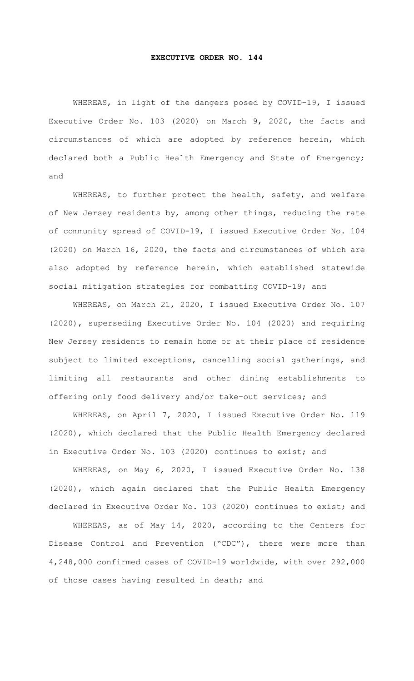## **EXECUTIVE ORDER NO. 144**

WHEREAS, in light of the dangers posed by COVID-19, I issued Executive Order No. 103 (2020) on March 9, 2020, the facts and circumstances of which are adopted by reference herein, which declared both a Public Health Emergency and State of Emergency; and

WHEREAS, to further protect the health, safety, and welfare of New Jersey residents by, among other things, reducing the rate of community spread of COVID-19, I issued Executive Order No. 104 (2020) on March 16, 2020, the facts and circumstances of which are also adopted by reference herein, which established statewide social mitigation strategies for combatting COVID-19; and

WHEREAS, on March 21, 2020, I issued Executive Order No. 107 (2020), superseding Executive Order No. 104 (2020) and requiring New Jersey residents to remain home or at their place of residence subject to limited exceptions, cancelling social gatherings, and limiting all restaurants and other dining establishments to offering only food delivery and/or take-out services; and

WHEREAS, on April 7, 2020, I issued Executive Order No. 119 (2020), which declared that the Public Health Emergency declared in Executive Order No. 103 (2020) continues to exist; and

WHEREAS, on May 6, 2020, I issued Executive Order No. 138 (2020), which again declared that the Public Health Emergency declared in Executive Order No. 103 (2020) continues to exist; and

WHEREAS, as of May 14, 2020, according to the Centers for Disease Control and Prevention ("CDC"), there were more than 4,248,000 confirmed cases of COVID-19 worldwide, with over 292,000 of those cases having resulted in death; and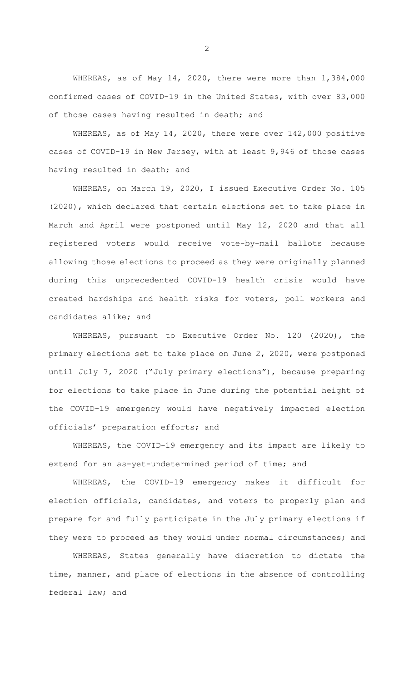WHEREAS, as of May 14, 2020, there were more than 1,384,000 confirmed cases of COVID-19 in the United States, with over 83,000 of those cases having resulted in death; and

WHEREAS, as of May 14, 2020, there were over 142,000 positive cases of COVID-19 in New Jersey, with at least 9,946 of those cases having resulted in death; and

WHEREAS, on March 19, 2020, I issued Executive Order No. 105 (2020), which declared that certain elections set to take place in March and April were postponed until May 12, 2020 and that all registered voters would receive vote-by-mail ballots because allowing those elections to proceed as they were originally planned during this unprecedented COVID-19 health crisis would have created hardships and health risks for voters, poll workers and candidates alike; and

WHEREAS, pursuant to Executive Order No. 120 (2020), the primary elections set to take place on June 2, 2020, were postponed until July 7, 2020 ("July primary elections"), because preparing for elections to take place in June during the potential height of the COVID-19 emergency would have negatively impacted election officials' preparation efforts; and

WHEREAS, the COVID-19 emergency and its impact are likely to extend for an as-yet-undetermined period of time; and

WHEREAS, the COVID-19 emergency makes it difficult for election officials, candidates, and voters to properly plan and prepare for and fully participate in the July primary elections if they were to proceed as they would under normal circumstances; and

WHEREAS, States generally have discretion to dictate the time, manner, and place of elections in the absence of controlling federal law; and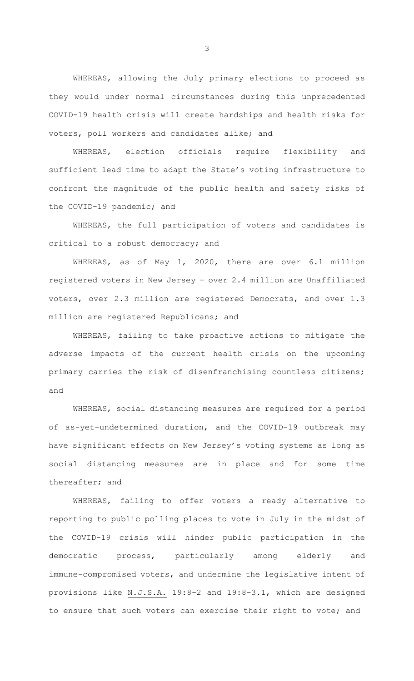WHEREAS, allowing the July primary elections to proceed as they would under normal circumstances during this unprecedented COVID-19 health crisis will create hardships and health risks for voters, poll workers and candidates alike; and

WHEREAS, election officials require flexibility and sufficient lead time to adapt the State's voting infrastructure to confront the magnitude of the public health and safety risks of the COVID-19 pandemic; and

WHEREAS, the full participation of voters and candidates is critical to a robust democracy; and

WHEREAS, as of May 1, 2020, there are over 6.1 million registered voters in New Jersey – over 2.4 million are Unaffiliated voters, over 2.3 million are registered Democrats, and over 1.3 million are registered Republicans; and

WHEREAS, failing to take proactive actions to mitigate the adverse impacts of the current health crisis on the upcoming primary carries the risk of disenfranchising countless citizens; and

WHEREAS, social distancing measures are required for a period of as-yet-undetermined duration, and the COVID-19 outbreak may have significant effects on New Jersey's voting systems as long as social distancing measures are in place and for some time thereafter; and

WHEREAS, failing to offer voters a ready alternative to reporting to public polling places to vote in July in the midst of the COVID-19 crisis will hinder public participation in the democratic process, particularly among elderly and immune-compromised voters, and undermine the legislative intent of provisions like N.J.S.A. 19:8-2 and 19:8-3.1, which are designed to ensure that such voters can exercise their right to vote; and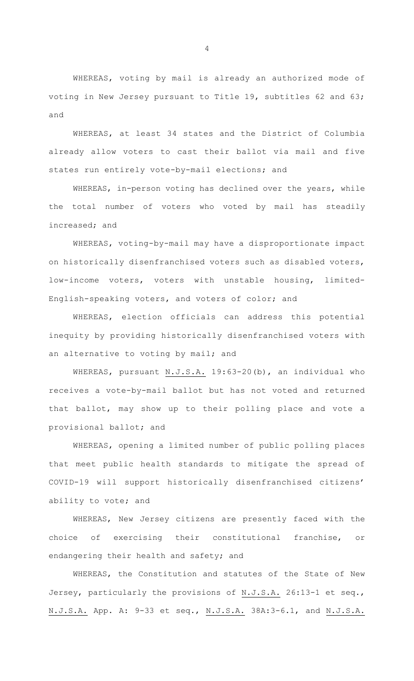WHEREAS, voting by mail is already an authorized mode of voting in New Jersey pursuant to Title 19, subtitles 62 and 63; and

WHEREAS, at least 34 states and the District of Columbia already allow voters to cast their ballot via mail and five states run entirely vote-by-mail elections; and

WHEREAS, in-person voting has declined over the years, while the total number of voters who voted by mail has steadily increased; and

WHEREAS, voting-by-mail may have a disproportionate impact on historically disenfranchised voters such as disabled voters, low-income voters, voters with unstable housing, limited-English-speaking voters, and voters of color; and

WHEREAS, election officials can address this potential inequity by providing historically disenfranchised voters with an alternative to voting by mail; and

WHEREAS, pursuant N.J.S.A. 19:63-20(b), an individual who receives a vote-by-mail ballot but has not voted and returned that ballot, may show up to their polling place and vote a provisional ballot; and

WHEREAS, opening a limited number of public polling places that meet public health standards to mitigate the spread of COVID-19 will support historically disenfranchised citizens' ability to vote; and

WHEREAS, New Jersey citizens are presently faced with the choice of exercising their constitutional franchise, or endangering their health and safety; and

WHEREAS, the Constitution and statutes of the State of New Jersey, particularly the provisions of N.J.S.A. 26:13-1 et seq., N.J.S.A. App. A: 9-33 et seq., N.J.S.A. 38A:3-6.1, and N.J.S.A.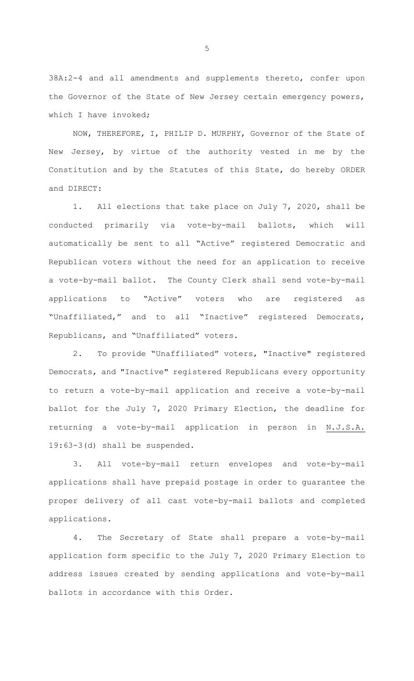38A:2-4 and all amendments and supplements thereto, confer upon the Governor of the State of New Jersey certain emergency powers, which I have invoked;

NOW, THEREFORE, I, PHILIP D. MURPHY, Governor of the State of New Jersey, by virtue of the authority vested in me by the Constitution and by the Statutes of this State, do hereby ORDER and DIRECT:

1. All elections that take place on July 7, 2020, shall be conducted primarily via vote-by-mail ballots, which will automatically be sent to all "Active" registered Democratic and Republican voters without the need for an application to receive a vote-by-mail ballot. The County Clerk shall send vote-by-mail applications to "Active" voters who are registered as "Unaffiliated," and to all "Inactive" registered Democrats, Republicans, and "Unaffiliated" voters.

2. To provide "Unaffiliated" voters, "Inactive" registered Democrats, and "Inactive" registered Republicans every opportunity to return a vote-by-mail application and receive a vote-by-mail ballot for the July 7, 2020 Primary Election, the deadline for returning a vote-by-mail application in person in N.J.S.A. 19:63-3(d) shall be suspended.

3. All vote-by-mail return envelopes and vote-by-mail applications shall have prepaid postage in order to guarantee the proper delivery of all cast vote-by-mail ballots and completed applications.

4. The Secretary of State shall prepare a vote-by-mail application form specific to the July 7, 2020 Primary Election to address issues created by sending applications and vote-by-mail ballots in accordance with this Order.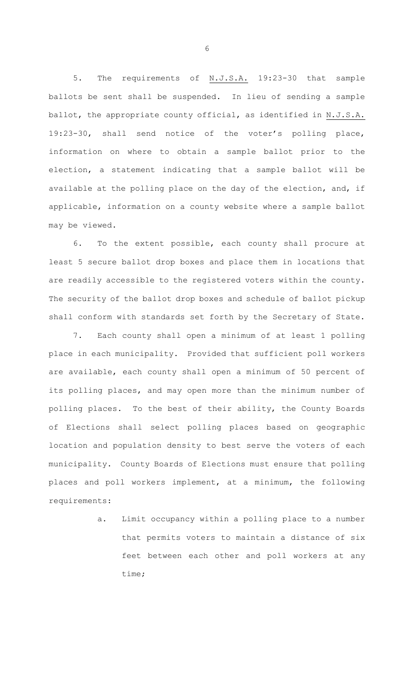5. The requirements of N.J.S.A. 19:23-30 that sample ballots be sent shall be suspended. In lieu of sending a sample ballot, the appropriate county official, as identified in N.J.S.A. 19:23-30, shall send notice of the voter's polling place, information on where to obtain a sample ballot prior to the election, a statement indicating that a sample ballot will be available at the polling place on the day of the election, and, if applicable, information on a county website where a sample ballot may be viewed.

6. To the extent possible, each county shall procure at least 5 secure ballot drop boxes and place them in locations that are readily accessible to the registered voters within the county. The security of the ballot drop boxes and schedule of ballot pickup shall conform with standards set forth by the Secretary of State.

7. Each county shall open a minimum of at least 1 polling place in each municipality. Provided that sufficient poll workers are available, each county shall open a minimum of 50 percent of its polling places, and may open more than the minimum number of polling places. To the best of their ability, the County Boards of Elections shall select polling places based on geographic location and population density to best serve the voters of each municipality. County Boards of Elections must ensure that polling places and poll workers implement, at a minimum, the following requirements:

> a. Limit occupancy within a polling place to a number that permits voters to maintain a distance of six feet between each other and poll workers at any time;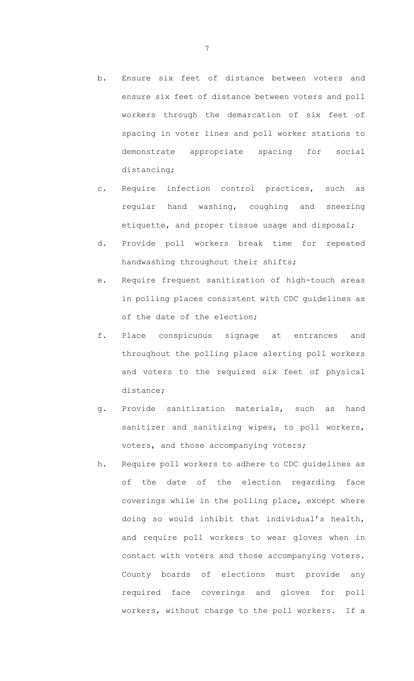- b. Ensure six feet of distance between voters and ensure six feet of distance between voters and poll workers through the demarcation of six feet of spacing in voter lines and poll worker stations to demonstrate appropriate spacing for social distancing;
- c. Require infection control practices, such as regular hand washing, coughing and sneezing etiquette, and proper tissue usage and disposal;
- d. Provide poll workers break time for repeated handwashing throughout their shifts;
- e. Require frequent sanitization of high-touch areas in polling places consistent with CDC guidelines as of the date of the election;
- f. Place conspicuous signage at entrances and throughout the polling place alerting poll workers and voters to the required six feet of physical distance;
- g. Provide sanitization materials, such as hand sanitizer and sanitizing wipes, to poll workers, voters, and those accompanying voters;
- h. Require poll workers to adhere to CDC guidelines as of the date of the election regarding face coverings while in the polling place, except where doing so would inhibit that individual's health, and require poll workers to wear gloves when in contact with voters and those accompanying voters. County boards of elections must provide any required face coverings and gloves for poll workers, without charge to the poll workers. If a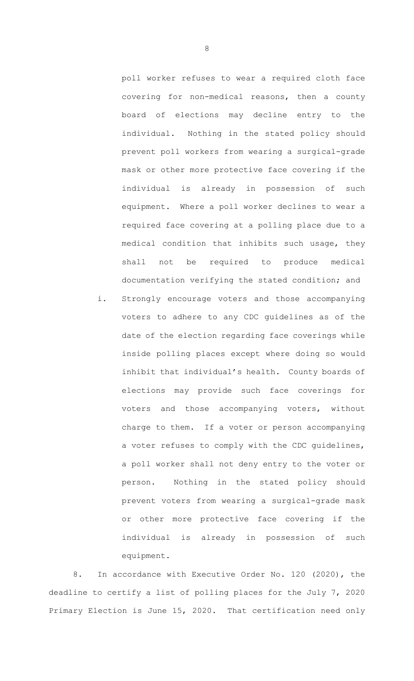poll worker refuses to wear a required cloth face covering for non-medical reasons, then a county board of elections may decline entry to the individual. Nothing in the stated policy should prevent poll workers from wearing a surgical-grade mask or other more protective face covering if the individual is already in possession of such equipment. Where a poll worker declines to wear a required face covering at a polling place due to a medical condition that inhibits such usage, they shall not be required to produce medical documentation verifying the stated condition; and

i. Strongly encourage voters and those accompanying voters to adhere to any CDC guidelines as of the date of the election regarding face coverings while inside polling places except where doing so would inhibit that individual's health. County boards of elections may provide such face coverings for voters and those accompanying voters, without charge to them. If a voter or person accompanying a voter refuses to comply with the CDC guidelines, a poll worker shall not deny entry to the voter or person. Nothing in the stated policy should prevent voters from wearing a surgical-grade mask or other more protective face covering if the individual is already in possession of such equipment.

8. In accordance with Executive Order No. 120 (2020), the deadline to certify a list of polling places for the July 7, 2020 Primary Election is June 15, 2020. That certification need only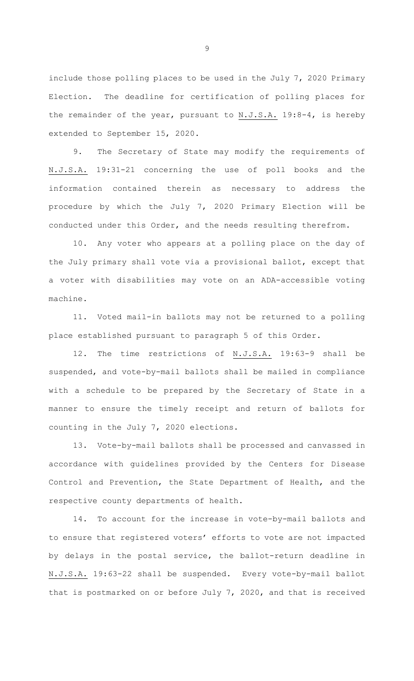include those polling places to be used in the July 7, 2020 Primary Election. The deadline for certification of polling places for the remainder of the year, pursuant to N.J.S.A. 19:8-4, is hereby extended to September 15, 2020.

9. The Secretary of State may modify the requirements of N.J.S.A. 19:31-21 concerning the use of poll books and the information contained therein as necessary to address the procedure by which the July 7, 2020 Primary Election will be conducted under this Order, and the needs resulting therefrom.

10. Any voter who appears at a polling place on the day of the July primary shall vote via a provisional ballot, except that a voter with disabilities may vote on an ADA-accessible voting machine.

11. Voted mail-in ballots may not be returned to a polling place established pursuant to paragraph 5 of this Order.

12. The time restrictions of N.J.S.A. 19:63-9 shall be suspended, and vote-by-mail ballots shall be mailed in compliance with a schedule to be prepared by the Secretary of State in a manner to ensure the timely receipt and return of ballots for counting in the July 7, 2020 elections.

13. Vote-by-mail ballots shall be processed and canvassed in accordance with guidelines provided by the Centers for Disease Control and Prevention, the State Department of Health, and the respective county departments of health.

14. To account for the increase in vote-by-mail ballots and to ensure that registered voters' efforts to vote are not impacted by delays in the postal service, the ballot-return deadline in N.J.S.A. 19:63-22 shall be suspended. Every vote-by-mail ballot that is postmarked on or before July 7, 2020, and that is received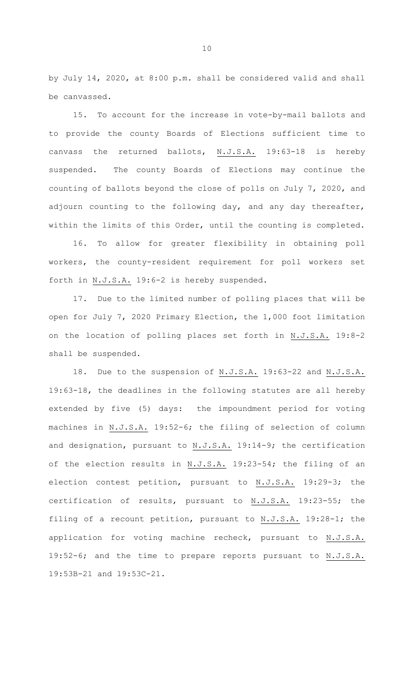by July 14, 2020, at 8:00 p.m. shall be considered valid and shall be canvassed.

15. To account for the increase in vote-by-mail ballots and to provide the county Boards of Elections sufficient time to canvass the returned ballots, N.J.S.A. 19:63-18 is hereby suspended. The county Boards of Elections may continue the counting of ballots beyond the close of polls on July 7, 2020, and adjourn counting to the following day, and any day thereafter, within the limits of this Order, until the counting is completed.

16. To allow for greater flexibility in obtaining poll workers, the county-resident requirement for poll workers set forth in N.J.S.A. 19:6-2 is hereby suspended.

17. Due to the limited number of polling places that will be open for July 7, 2020 Primary Election, the 1,000 foot limitation on the location of polling places set forth in N.J.S.A. 19:8-2 shall be suspended.

18. Due to the suspension of N.J.S.A. 19:63-22 and N.J.S.A. 19:63-18, the deadlines in the following statutes are all hereby extended by five (5) days: the impoundment period for voting machines in N.J.S.A. 19:52-6; the filing of selection of column and designation, pursuant to N.J.S.A. 19:14-9; the certification of the election results in N.J.S.A. 19:23-54; the filing of an election contest petition, pursuant to N.J.S.A. 19:29-3; the certification of results, pursuant to N.J.S.A. 19:23-55; the filing of a recount petition, pursuant to N.J.S.A. 19:28-1; the application for voting machine recheck, pursuant to N.J.S.A. 19:52-6; and the time to prepare reports pursuant to N.J.S.A. 19:53B-21 and 19:53C-21.